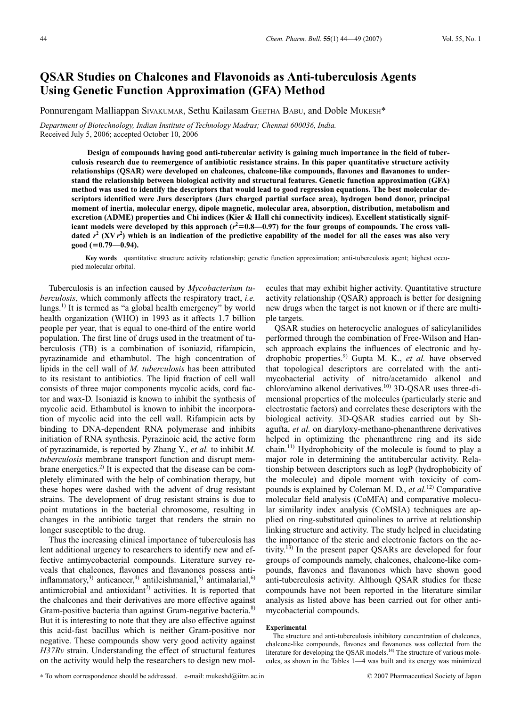# **QSAR Studies on Chalcones and Flavonoids as Anti-tuberculosis Agents Using Genetic Function Approximation (GFA) Method**

Ponnurengam Malliappan SIVAKUMAR, Sethu Kailasam GEETHA BABU, and Doble MUKESH\*

*Department of Biotechnology, Indian Institute of Technology Madras; Chennai 600036, India.* Received July 5, 2006; accepted October 10, 2006

> **Design of compounds having good anti-tubercular activity is gaining much importance in the field of tuberculosis research due to reemergence of antibiotic resistance strains. In this paper quantitative structure activity relationships (QSAR) were developed on chalcones, chalcone-like compounds, flavones and flavanones to understand the relationship between biological activity and structural features. Genetic function approximation (GFA) method was used to identify the descriptors that would lead to good regression equations. The best molecular descriptors identified were Jurs descriptors (Jurs charged partial surface area), hydrogen bond donor, principal moment of inertia, molecular energy, dipole magnetic, molecular area, absorption, distribution, metabolism and excretion (ADME) properties and Chi indices (Kier & Hall chi connectivity indices). Excellent statistically signif**icant models were developed by this approach  $(r^2=0.8-0.97)$  for the four groups of compounds. The cross validated  $r^2$  (XV $r^2$ ) which is an indication of the predictive capability of the model for all the cases was also very **good (0.79—0.94).**

> **Key words** quantitative structure activity relationship; genetic function approximation; anti-tuberculosis agent; highest occupied molecular orbital.

Tuberculosis is an infection caused by *Mycobacterium tuberculosis*, which commonly affects the respiratory tract, *i.e.* lungs.<sup>1)</sup> It is termed as "a global health emergency" by world health organization (WHO) in 1993 as it affects 1.7 billion people per year, that is equal to one-third of the entire world population. The first line of drugs used in the treatment of tuberculosis (TB) is a combination of isoniazid, rifampicin, pyrazinamide and ethambutol. The high concentration of lipids in the cell wall of *M. tuberculosis* has been attributed to its resistant to antibiotics. The lipid fraction of cell wall consists of three major components mycolic acids, cord factor and wax-D. Isoniazid is known to inhibit the synthesis of mycolic acid. Ethambutol is known to inhibit the incorporation of mycolic acid into the cell wall. Rifampicin acts by binding to DNA-dependent RNA polymerase and inhibits initiation of RNA synthesis. Pyrazinoic acid, the active form of pyrazinamide, is reported by Zhang Y., *et al.* to inhibit *M. tuberculosis* membrane transport function and disrupt membrane energetics.<sup>2)</sup> It is expected that the disease can be completely eliminated with the help of combination therapy, but these hopes were dashed with the advent of drug resistant strains. The development of drug resistant strains is due to point mutations in the bacterial chromosome, resulting in changes in the antibiotic target that renders the strain no longer susceptible to the drug.

Thus the increasing clinical importance of tuberculosis has lent additional urgency to researchers to identify new and effective antimycobacterial compounds. Literature survey reveals that chalcones, flavones and flavanones possess antiinflammatory, $3$ ) anticancer, $4$ ) antileishmanial, $5$ ) antimalarial, $6$ ) antimicrobial and antioxidant<sup>7)</sup> activities. It is reported that the chalcones and their derivatives are more effective against Gram-positive bacteria than against Gram-negative bacteria.<sup>8)</sup> But it is interesting to note that they are also effective against this acid-fast bacillus which is neither Gram-positive nor negative. These compounds show very good activity against *H37Rv* strain. Understanding the effect of structural features on the activity would help the researchers to design new mol-

ecules that may exhibit higher activity. Quantitative structure activity relationship (QSAR) approach is better for designing new drugs when the target is not known or if there are multiple targets.

QSAR studies on heterocyclic analogues of salicylanilides performed through the combination of Free-Wilson and Hansch approach explains the influences of electronic and hydrophobic properties.<sup>9)</sup> Gupta M. K., et al. have observed that topological descriptors are correlated with the antimycobacterial activity of nitro/acetamido alkenol and chloro/amino alkenol derivatives.<sup>10)</sup> 3D-QSAR uses three-dimensional properties of the molecules (particularly steric and electrostatic factors) and correlates these descriptors with the biological activity. 3D-QSAR studies carried out by Shagufta, *et al.* on diaryloxy-methano-phenanthrene derivatives helped in optimizing the phenanthrene ring and its side chain.<sup>11)</sup> Hydrophobicity of the molecule is found to play a major role in determining the antitubercular activity. Relationship between descriptors such as logP (hydrophobicity of the molecule) and dipole moment with toxicity of compounds is explained by Coleman M. D., *et al.*12) Comparative molecular field analysis (CoMFA) and comparative molecular similarity index analysis (CoMSIA) techniques are applied on ring-substituted quinolines to arrive at relationship linking structure and activity. The study helped in elucidating the importance of the steric and electronic factors on the activity.<sup>13)</sup> In the present paper QSARs are developed for four groups of compounds namely, chalcones, chalcone-like compounds, flavones and flavanones which have shown good anti-tuberculosis activity. Although QSAR studies for these compounds have not been reported in the literature similar analysis as listed above has been carried out for other antimycobacterial compounds.

### **Experimental**

The structure and anti-tuberculosis inhibitory concentration of chalcones, chalcone-like compounds, flavones and flavanones was collected from the literature for developing the QSAR models.<sup>14)</sup> The structure of various molecules, as shown in the Tables 1—4 was built and its energy was minimized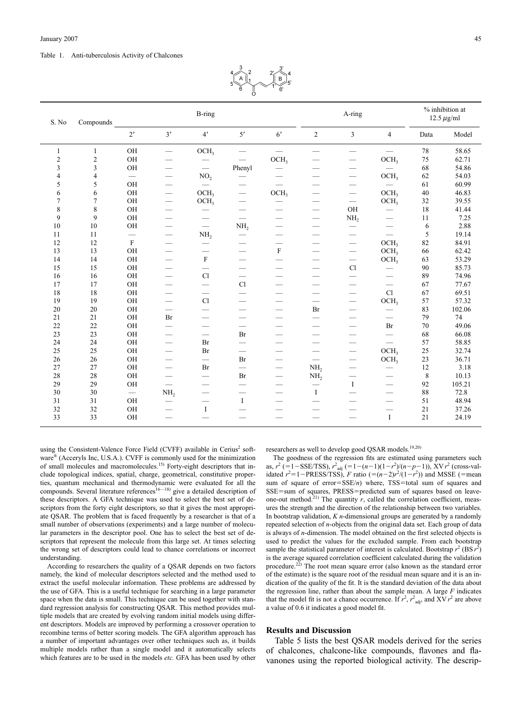#### Table 1. Anti-tuberculosis Activity of Chalcones

|       |                |                          |                                 |                                 | $5^{\circ}$<br>ö         | $\frac{5}{5}$            |                                 |                               |                          |                                    |        |
|-------|----------------|--------------------------|---------------------------------|---------------------------------|--------------------------|--------------------------|---------------------------------|-------------------------------|--------------------------|------------------------------------|--------|
| S. No | Compounds      |                          |                                 | B-ring                          |                          |                          | A-ring                          |                               |                          | % inhibition at<br>12.5 $\mu$ g/ml |        |
|       |                | 2'                       | 3'                              | 4'                              | 5'                       | 6'                       | $\overline{c}$                  | $\overline{3}$                | $\overline{4}$           | Data                               | Model  |
| 1     | $\mathbf{1}$   | OH                       | $\overbrace{\qquad \qquad }^{}$ | OCH <sub>3</sub>                |                          | $\overline{\phantom{0}}$ | $\overline{\phantom{0}}$        | $\overline{\phantom{0}}$      | $\qquad \qquad$          | 78                                 | 58.65  |
| 2     | $\sqrt{2}$     | OH                       |                                 |                                 |                          | OCH <sub>3</sub>         |                                 |                               | OCH <sub>3</sub>         | 75                                 | 62.71  |
| 3     | 3              | OH                       | -                               |                                 | Phenyl                   | $\overline{\phantom{0}}$ | -                               |                               |                          | 68                                 | 54.86  |
| 4     | $\overline{4}$ | $\overline{\phantom{m}}$ |                                 | NO <sub>2</sub>                 | -                        |                          |                                 |                               | OCH <sub>3</sub>         | 62                                 | 54.03  |
| 5     | 5              | OH                       | $\overline{\phantom{0}}$        |                                 | $\overline{\phantom{0}}$ | $\overline{\phantom{0}}$ | $\overline{\phantom{0}}$        |                               |                          | 61                                 | 60.99  |
| 6     | 6              | OH                       | $\overline{\phantom{0}}$        | OCH <sub>3</sub>                | $\overline{\phantom{0}}$ | OCH <sub>3</sub>         |                                 |                               | OCH <sub>3</sub>         | 40                                 | 46.83  |
| 7     | $\tau$         | OH                       |                                 | OCH <sub>3</sub>                | —                        |                          |                                 | $\overline{\phantom{0}}$      | OCH <sub>3</sub>         | 32                                 | 39.55  |
| 8     | 8              | OH                       | $\overline{\phantom{0}}$        | $\hspace{0.1mm}-\hspace{0.1mm}$ | $\qquad \qquad$          |                          | $\overbrace{\qquad \qquad }^{}$ | OH                            |                          | 18                                 | 41.44  |
| 9     | 9              | OH                       |                                 |                                 | $\qquad \qquad$          |                          |                                 | NH <sub>2</sub>               | $\qquad \qquad$          | 11                                 | 7.25   |
| 10    | 10             | OH                       | $\overline{\phantom{0}}$        |                                 | NH <sub>2</sub>          | $\overline{\phantom{0}}$ | $\overbrace{\qquad \qquad }^{}$ |                               | $\overline{\phantom{0}}$ | 6                                  | 2.88   |
| 11    | 11             |                          |                                 | NH <sub>2</sub>                 | $\overline{\phantom{0}}$ | $\overline{\phantom{0}}$ | $\overline{\phantom{0}}$        | -                             | $\overline{\phantom{0}}$ | 5                                  | 19.14  |
| 12    | 12             | $\mathbf F$              |                                 |                                 | —                        | -                        |                                 |                               | OCH <sub>3</sub>         | 82                                 | 84.91  |
| 13    | 13             | OH                       | $\overline{\phantom{0}}$        | $\qquad \qquad$                 | $\overline{\phantom{0}}$ | F                        |                                 |                               | OCH <sub>3</sub>         | 66                                 | 62.42  |
| 14    | 14             | OH                       | $\overline{\phantom{0}}$        | $\mathbf F$                     | $\overline{\phantom{0}}$ | $\overline{\phantom{0}}$ |                                 | $\overbrace{\phantom{12333}}$ | OCH <sub>3</sub>         | 63                                 | 53.29  |
| 15    | 15             | $\rm OH$                 |                                 | $\overline{\phantom{0}}$        |                          |                          |                                 | $\mathop{\rm Cl}\nolimits$    |                          | 90                                 | 85.73  |
| 16    | 16             | OH                       |                                 | Cl                              | $\qquad \qquad$          |                          |                                 |                               |                          | 89                                 | 74.96  |
| 17    | 17             | $\rm OH$                 |                                 | $\overline{\phantom{0}}$        | Cl                       |                          |                                 |                               |                          | 67                                 | 77.67  |
| 18    | 18             | OH                       | -                               | $\qquad \qquad$                 | $\overline{\phantom{0}}$ | $\overline{\phantom{0}}$ |                                 |                               | Cl                       | 67                                 | 69.51  |
| 19    | 19             | $\rm OH$                 | $\overbrace{\qquad \qquad }^{}$ | Cl                              | $\overline{\phantom{0}}$ | $\overline{\phantom{0}}$ |                                 | $\overline{\phantom{0}}$      | OCH <sub>3</sub>         | 57                                 | 57.32  |
| 20    | 20             | OH                       |                                 | $\overline{\phantom{0}}$        |                          |                          | Br                              |                               |                          | 83                                 | 102.06 |
| 21    | 21             | OH                       | Br                              |                                 | --                       |                          | $\qquad \qquad$                 |                               |                          | 79                                 | 74     |
| 22    | 22             | $\rm OH$                 | -                               |                                 | $\overline{\phantom{0}}$ |                          |                                 |                               | Br                       | 70                                 | 49.06  |
| 23    | 23             | $\rm OH$                 |                                 | $\overline{\phantom{0}}$        | Br                       |                          | $\overline{\phantom{0}}$        | $\overline{\phantom{0}}$      | $\overline{\phantom{0}}$ | 68                                 | 66.08  |
| 24    | 24             | OH                       | $\overbrace{\qquad \qquad }^{}$ | Br                              | $\overline{\phantom{0}}$ | $\overline{\phantom{0}}$ |                                 |                               | $\equiv$                 | 57                                 | 58.85  |
| 25    | 25             | OH                       |                                 | Br                              |                          |                          |                                 |                               | OCH <sub>3</sub>         | 25                                 | 32.74  |
| 26    | 26             | OH                       |                                 | $\overline{\phantom{0}}$        | Br                       | -                        | $\overbrace{\qquad \qquad }^{}$ |                               | OCH <sub>3</sub>         | 23                                 | 36.71  |
| 27    | 27             | OH                       |                                 | Br                              | $\overline{\phantom{0}}$ |                          | NH <sub>2</sub>                 |                               | $\qquad \qquad$          | 12                                 | 3.18   |
| 28    | 28             | $\rm OH$                 | $\overline{\phantom{0}}$        |                                 | Br                       | $\overline{\phantom{0}}$ | NH <sub>2</sub>                 |                               |                          | $\,$ 8 $\,$                        | 10.13  |
| 29    | 29             | OH                       |                                 |                                 |                          |                          |                                 | $\bf{I}$                      |                          | 92                                 | 105.21 |
| 30    | 30             |                          | NH <sub>2</sub>                 |                                 |                          |                          | $\mathbf I$                     |                               |                          | 88                                 | 72.8   |
| 31    | 31             | OH                       |                                 |                                 | $\bf{I}$                 |                          |                                 |                               |                          | 51                                 | 48.94  |

32 32 OH — I — — — — — 21 37.26 33 33 OH — — — — — — I 21 24.19

using the Consistent-Valence Force Field (CVFF) available in Cerius<sup>2</sup> software<sup>®</sup> (Acceryls Inc, U.S.A.). CVFF is commonly used for the minimization of small molecules and macromolecules.<sup>15)</sup> Forty-eight descriptors that include topological indices, spatial, charge, geometrical, constitutive properties, quantum mechanical and thermodynamic were evaluated for all the compounds. Several literature references<sup>16—18)</sup> give a detailed description of these descriptors. A GFA technique was used to select the best set of descriptors from the forty eight descriptors, so that it gives the most appropriate QSAR. The problem that is faced frequently by a researcher is that of a small number of observations (experiments) and a large number of molecular parameters in the descriptor pool. One has to select the best set of descriptors that represent the molecule from this large set. At times selecting the wrong set of descriptors could lead to chance correlations or incorrect understanding.

According to researchers the quality of a QSAR depends on two factors namely, the kind of molecular descriptors selected and the method used to extract the useful molecular information. These problems are addressed by the use of GFA. This is a useful technique for searching in a large parameter space when the data is small. This technique can be used together with standard regression analysis for constructing QSAR. This method provides multiple models that are created by evolving random initial models using different descriptors. Models are improved by performing a crossover operation to recombine terms of better scoring models. The GFA algorithm approach has a number of important advantages over other techniques such as, it builds multiple models rather than a single model and it automatically selects which features are to be used in the models *etc.* GFA has been used by other

researchers as well to develop good QSAR models.<sup>19,20)</sup>

The goodness of the regression fits are estimated using parameters such as,  $r^2$  (=1–SSE/TSS),  $r^2_{\text{adj}}$  (=1–(*n*-1)(1– $r^2$ )/(*n*–*p*–1)), XV  $r^2$  (cross-validated  $r^2 = 1 - \text{PRESS/TSS}$ , *F* ratio ( $=(n-2)r^2/(1-r^2)$ ) and MSSE (=mean sum of square of error= $SSE/n$ ) where, TSS=total sum of squares and SSE=sum of squares, PRESS=predicted sum of squares based on leaveone-out method.<sup>21)</sup> The quantity  $r$ , called the correlation coefficient, measures the strength and the direction of the relationship between two variables. In bootstrap validation, *K n*-dimensional groups are generated by a randomly repeated selection of *n*-objects from the original data set. Each group of data is always of *n*-dimension. The model obtained on the first selected objects is used to predict the values for the excluded sample. From each bootstrap sample the statistical parameter of interest is calculated. Bootstrap  $r^2$  (BS  $r^2$ ) is the average squared correlation coefficient calculated during the validation procedure.<sup>22)</sup> The root mean square error (also known as the standard error of the estimate) is the square root of the residual mean square and it is an indication of the quality of the fit. It is the standard deviation of the data about the regression line, rather than about the sample mean. A large *F* indicates that the model fit is not a chance occurrence. If  $r^2$ ,  $r^2$ <sub>adj</sub>, and XV  $r^2$  are above a value of 0.6 it indicates a good model fit.

## **Results and Discussion**

Table 5 lists the best QSAR models derived for the series of chalcones, chalcone-like compounds, flavones and flavanones using the reported biological activity. The descrip-

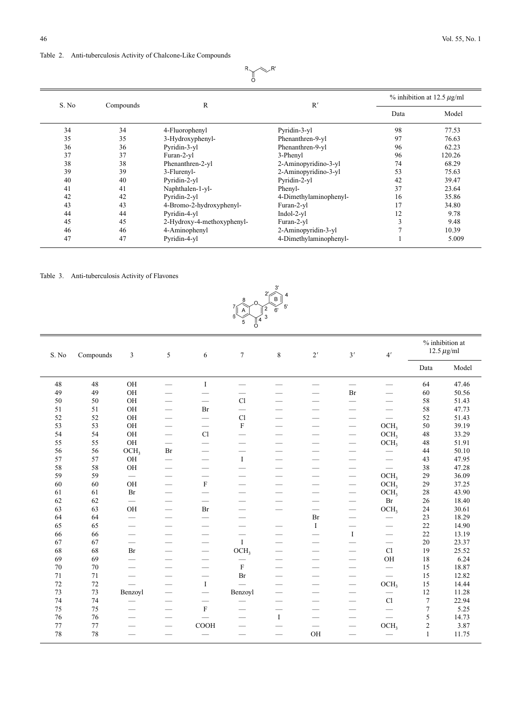# $R$   $\uparrow$  $\llcorner R$

|       |           |                            |                        | $\%$ inhibition at 12.5 $\mu$ g/ml |        |  |
|-------|-----------|----------------------------|------------------------|------------------------------------|--------|--|
| S. No | Compounds | R                          | R'                     | Data                               | Model  |  |
| 34    | 34        | 4-Fluorophenyl             | Pyridin-3-yl           | 98                                 | 77.53  |  |
| 35    | 35        | 3-Hydroxyphenyl-           | Phenanthren-9-yl       | 97                                 | 76.63  |  |
| 36    | 36        | Pyridin-3-yl               | Phenanthren-9-yl       | 96                                 | 62.23  |  |
| 37    | 37        | Furan-2-yl                 | 3-Phenyl               | 96                                 | 120.26 |  |
| 38    | 38        | Phenanthren-2-yl           | 2-Aminopyridino-3-yl   | 74                                 | 68.29  |  |
| 39    | 39        | 3-Flurenyl-                | 2-Aminopyridino-3-yl   | 53                                 | 75.63  |  |
| 40    | 40        | Pyridin-2-yl               | Pyridin-2-yl           | 42                                 | 39.47  |  |
| 41    | 41        | Naphthalen-1-yl-           | Phenyl-                | 37                                 | 23.64  |  |
| 42    | 42        | Pyridin-2-yl               | 4-Dimethylaminophenyl- | 16                                 | 35.86  |  |
| 43    | 43        | 4-Bromo-2-hydroxyphenyl-   | Furan-2-yl             | 17                                 | 34.80  |  |
| 44    | 44        | Pyridin-4-yl               | $Indol-2-vl$           | 12                                 | 9.78   |  |
| 45    | 45        | 2-Hydroxy-4-methoxyphenyl- | Furan-2-yl             | 3                                  | 9.48   |  |
| 46    | 46        | 4-Aminophenyl              | 2-Aminopyridin-3-yl    |                                    | 10.39  |  |
| 47    | 47        | Pyridin-4-yl               | 4-Dimethylaminophenyl- |                                    | 5.009  |  |

## Table 3. Anti-tuberculosis Activity of Flavones



| S. No | Compounds | 3                             | 5                               | 6                             | $\tau$           | $\,8\,$                  | $2^{\prime}$             | 3'                       | 4'                               | % inhibition at<br>12.5 $\mu$ g/ml |       |
|-------|-----------|-------------------------------|---------------------------------|-------------------------------|------------------|--------------------------|--------------------------|--------------------------|----------------------------------|------------------------------------|-------|
|       |           |                               |                                 |                               |                  |                          |                          |                          |                                  | Data                               | Model |
| 48    | 48        | OH                            |                                 | $\mathbf I$                   |                  |                          |                          |                          |                                  | 64                                 | 47.46 |
| 49    | 49        | OH                            |                                 |                               |                  |                          |                          | Br                       |                                  | 60                                 | 50.56 |
| 50    | 50        | OH                            |                                 | $\overline{\phantom{0}}$      | C1               |                          |                          |                          |                                  | 58                                 | 51.43 |
| 51    | 51        | OH                            | $\qquad \qquad$                 | Br                            |                  |                          |                          |                          |                                  | 58                                 | 47.73 |
| 52    | 52        | OH                            | -                               | $\qquad \qquad$               | C1               |                          |                          |                          |                                  | 52                                 | 51.43 |
| 53    | 53        | OH                            |                                 | $\qquad \qquad$               | F                | -                        | -                        |                          | OCH <sub>3</sub>                 | 50                                 | 39.19 |
| 54    | 54        | OH                            | $\overbrace{\phantom{aaaaa}}$   | C1                            |                  | -                        |                          | $\hspace{0.05cm}$        | OCH <sub>3</sub>                 | 48                                 | 33.29 |
| 55    | 55        | OH                            | $\hspace{0.1mm}-\hspace{0.1mm}$ | $\overbrace{\phantom{aaaaa}}$ |                  |                          |                          |                          | OCH <sub>3</sub>                 | 48                                 | 51.91 |
| 56    | 56        | OCH <sub>3</sub>              | Br                              |                               |                  |                          |                          | --                       | $\qquad \qquad$                  | 44                                 | 50.10 |
| 57    | 57        | OH                            |                                 | $\qquad \qquad$               | $\bf{I}$         |                          |                          |                          | $\qquad \qquad$                  | 43                                 | 47.95 |
| 58    | 58        | OH                            | $\qquad \qquad$                 | $\qquad \qquad$               |                  |                          |                          | $\qquad \qquad$          |                                  | 38                                 | 47.28 |
| 59    | 59        |                               | $\qquad \qquad$                 | $\qquad \qquad$               |                  |                          |                          | $\qquad \qquad$          | OCH <sub>3</sub>                 | 29                                 | 36.09 |
| 60    | 60        | OH                            | $\overline{\phantom{0}}$        | $\mathbf F$                   | $\qquad \qquad$  |                          |                          |                          | OCH <sub>3</sub>                 | 29                                 | 37.25 |
| 61    | 61        | Br                            | $\overline{\phantom{0}}$        | $\qquad \qquad$               |                  |                          |                          | $\overline{\phantom{0}}$ | OCH <sub>3</sub>                 | 28                                 | 43.90 |
| 62    | 62        |                               |                                 | $\qquad \qquad$               |                  |                          |                          | $\qquad \qquad$          | Br                               | 26                                 | 18.40 |
| 63    | 63        | OH                            | $\overbrace{\phantom{aaaaa}}$   | Br                            |                  | $\qquad \qquad$          | $\overline{\phantom{0}}$ | $\overline{\phantom{0}}$ | OCH <sub>3</sub>                 | 24                                 | 30.61 |
| 64    | 64        | $\overbrace{\phantom{aaaaa}}$ | $\qquad \qquad -$               | $\overline{\phantom{0}}$      |                  |                          | Br                       |                          |                                  | 23                                 | 18.29 |
| 65    | 65        |                               | $\qquad \qquad$                 | $\qquad \qquad$               |                  |                          | $\bf{I}$                 |                          |                                  | 22                                 | 14.90 |
| 66    | 66        |                               | $\qquad \qquad$                 |                               |                  |                          | --                       | $\bf{I}$                 | $\overbrace{\phantom{aaaaa}}$    | 22                                 | 13.19 |
| 67    | 67        |                               | $\qquad \qquad$                 | $\qquad \qquad$               | $\mathbf{I}$     |                          | $\overline{\phantom{0}}$ |                          | $\qquad \qquad$                  | 20                                 | 23.37 |
| 68    | 68        | Br                            | $\qquad \qquad$                 |                               | OCH <sub>3</sub> |                          |                          |                          | C1                               | 19                                 | 25.52 |
| 69    | 69        |                               | —                               |                               |                  |                          |                          |                          | OH                               | 18                                 | 6.24  |
| 70    | 70        | $\overline{\phantom{0}}$      | $\qquad \qquad$                 | $\qquad \qquad$               | $\rm F$          |                          |                          | -                        | $\overline{\phantom{0}}$         | 15                                 | 18.87 |
| 71    | 71        |                               | $\qquad \qquad$                 | $\qquad \qquad$               | $\rm Br$         |                          |                          |                          |                                  | 15                                 | 12.82 |
| 72    | 72        |                               |                                 | $\mathbf I$                   |                  |                          |                          |                          | OCH <sub>3</sub>                 | 15                                 | 14.44 |
| 73    | 73        | Benzoyl                       | $\overline{\phantom{m}}$        | $\qquad \qquad$               | Benzoyl          |                          |                          | $\qquad \qquad$          |                                  | 12                                 | 11.28 |
| 74    | 74        |                               |                                 |                               |                  |                          | --                       |                          | Cl                               | 7                                  | 22.94 |
| 75    | 75        |                               | $\overline{\phantom{m}}$        | $\rm F$                       |                  |                          |                          |                          | $\overbrace{\phantom{aaaaa}}^{}$ | 7                                  | 5.25  |
| 76    | 76        |                               |                                 |                               |                  | $\bf{I}$                 |                          |                          |                                  | 5                                  | 14.73 |
| 77    | 77        |                               | $\qquad \qquad$                 | COOH                          | -                |                          |                          | $\qquad \qquad$          | OCH <sub>3</sub>                 | $\overline{c}$                     | 3.87  |
| 78    | 78        | $\overline{\phantom{0}}$      | $\overline{\phantom{m}}$        |                               |                  | $\overline{\phantom{0}}$ | OH                       |                          |                                  | $\mathbf{1}$                       | 11.75 |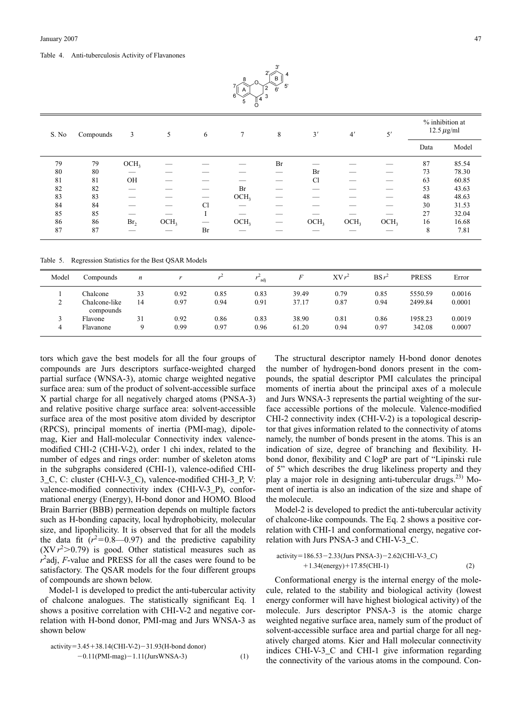Table 4. Anti-tuberculosis Activity of Flavanones



Table 5. Regression Statistics for the Best QSAR Models

| Model  | Compounds                  | $\boldsymbol{n}$ |      |      | adi  |       | $XVr^2$ | $BSr^2$ | <b>PRESS</b> | Error  |
|--------|----------------------------|------------------|------|------|------|-------|---------|---------|--------------|--------|
|        | Chalcone                   | 33               | 0.92 | 0.85 | 0.83 | 39.49 | 0.79    | 0.85    | 5550.59      | 0.0016 |
| $\sim$ | Chalcone-like<br>compounds | 14               | 0.97 | 0.94 | 0.91 | 37.17 | 0.87    | 0.94    | 2499.84      | 0.0001 |
|        | Flavone                    | 31               | 0.92 | 0.86 | 0.83 | 38.90 | 0.81    | 0.86    | 1958.23      | 0.0019 |
|        | Flavanone                  |                  | 0.99 | 0.97 | 0.96 | 61.20 | 0.94    | 0.97    | 342.08       | 0.0007 |

87 87 — Br — — — — — 8 7.81

tors which gave the best models for all the four groups of compounds are Jurs descriptors surface-weighted charged partial surface (WNSA-3), atomic charge weighted negative surface area: sum of the product of solvent-accessible surface X partial charge for all negatively charged atoms (PNSA-3) and relative positive charge surface area: solvent-accessible surface area of the most positive atom divided by descriptor (RPCS), principal moments of inertia (PMI-mag), dipolemag, Kier and Hall-molecular Connectivity index valencemodified CHI-2 (CHI-V-2), order 1 chi index, related to the number of edges and rings order: number of skeleton atoms in the subgraphs considered (CHI-1), valence-odified CHI-3\_C, C: cluster (CHI-V-3\_C), valence-modified CHI-3\_P, V: valence-modified connectivity index (CHI-V-3\_P), conformational energy (Energy), H-bond donor and HOMO. Blood Brain Barrier (BBB) permeation depends on multiple factors such as H-bonding capacity, local hydrophobicity, molecular size, and lipophilicity. It is observed that for all the models the data fit  $(r^2=0.8 \t -0.97)$  and the predictive capability  $(XVr<sup>2</sup>>0.79)$  is good. Other statistical measures such as *r* 2 adj, *F*-value and PRESS for all the cases were found to be satisfactory. The QSAR models for the four different groups of compounds are shown below.

Model-1 is developed to predict the anti-tubercular activity of chalcone analogues. The statistically significant Eq. 1 shows a positive correlation with CHI-V-2 and negative correlation with H-bond donor, PMI-mag and Jurs WNSA-3 as shown below

$$
activity=3.45+38.14(CHI-V-2)-31.93(H-bond donor)-0.11(PMI-mag)-1.11(JursWNSA-3)
$$
 (1)

The structural descriptor namely H-bond donor denotes the number of hydrogen-bond donors present in the compounds, the spatial descriptor PMI calculates the principal moments of inertia about the principal axes of a molecule and Jurs WNSA-3 represents the partial weighting of the surface accessible portions of the molecule. Valence-modified CHI-2 connectivity index (CHI-V-2) is a topological descriptor that gives information related to the connectivity of atoms namely, the number of bonds present in the atoms. This is an indication of size, degree of branching and flexibility. Hbond donor, flexibility and C logP are part of "Lipinski rule of 5" which describes the drug likeliness property and they play a major role in designing anti-tubercular drugs.<sup>23)</sup> Moment of inertia is also an indication of the size and shape of the molecule.

Model-2 is developed to predict the anti-tubercular activity of chalcone-like compounds. The Eq. 2 shows a positive correlation with CHI-1 and conformational energy, negative correlation with Jurs PNSA-3 and CHI-V-3\_C.

$$
activity = 186.53 - 2.33 \text{(Jurs PNSA-3)} - 2.62 \text{(CHI-V-3_C)} + 1.34 \text{(energy)} + 17.85 \text{(CHI-1)} \tag{2}
$$

Conformational energy is the internal energy of the molecule, related to the stability and biological activity (lowest energy conformer will have highest biological activity) of the molecule. Jurs descriptor PNSA-3 is the atomic charge weighted negative surface area, namely sum of the product of solvent-accessible surface area and partial charge for all negatively charged atoms. Kier and Hall molecular connectivity indices CHI-V-3\_C and CHI-1 give information regarding the connectivity of the various atoms in the compound. Con-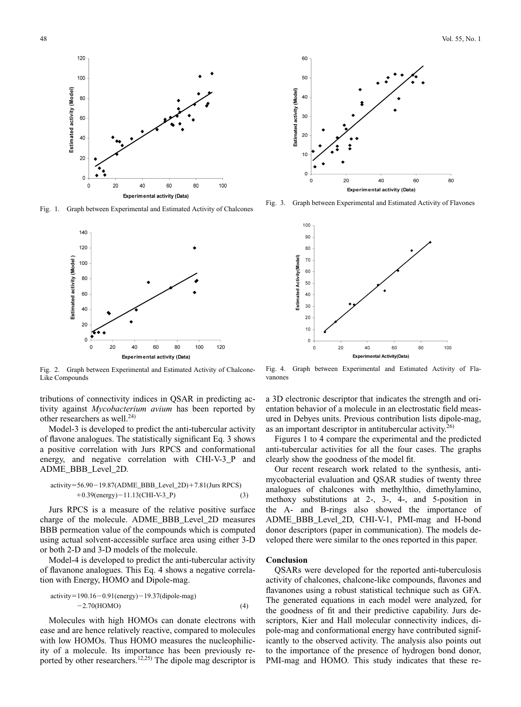

Fig. 1. Graph between Experimental and Estimated Activity of Chalcones



Fig. 2. Graph between Experimental and Estimated Activity of Chalcone-Like Compounds

tributions of connectivity indices in QSAR in predicting activity against *Mycobacterium avium* has been reported by other researchers as well. $^{24)}$ 

Model-3 is developed to predict the anti-tubercular activity of flavone analogues. The statistically significant Eq. 3 shows a positive correlation with Jurs RPCS and conformational energy, and negative correlation with CHI-V-3 P and ADME\_BBB\_Level\_2D.

$$
activity = 56.90 - 19.87(ADME_BBB\_Level_2D) + 7.81(Jurs RPCS)
$$

$$
+ 0.39(energy) - 11.13(CHI-V-3_P)
$$
(3)

Jurs RPCS is a measure of the relative positive surface charge of the molecule. ADME\_BBB\_Level\_2D measures BBB permeation value of the compounds which is computed using actual solvent-accessible surface area using either 3-D or both 2-D and 3-D models of the molecule.

Model-4 is developed to predict the anti-tubercular activity of flavanone analogues. This Eq. 4 shows a negative correlation with Energy, HOMO and Dipole-mag.

$$
activity = 190.16 - 0.91(energy) - 19.37(dipole-mag)
$$
  
-2.70(HOMO) (4)

Molecules with high HOMOs can donate electrons with ease and are hence relatively reactive, compared to molecules with low HOMOs. Thus HOMO measures the nucleophilicity of a molecule. Its importance has been previously reported by other researchers.<sup>12,25)</sup> The dipole mag descriptor is



Fig. 3. Graph between Experimental and Estimated Activity of Flavones



Fig. 4. Graph between Experimental and Estimated Activity of Flavanones

a 3D electronic descriptor that indicates the strength and orientation behavior of a molecule in an electrostatic field measured in Debyes units. Previous contribution lists dipole-mag, as an important descriptor in antitubercular activity. $^{26)}$ 

Figures 1 to 4 compare the experimental and the predicted anti-tubercular activities for all the four cases. The graphs clearly show the goodness of the model fit.

Our recent research work related to the synthesis, antimycobacterial evaluation and QSAR studies of twenty three analogues of chalcones with methylthio, dimethylamino, methoxy substitutions at 2-, 3-, 4-, and 5-position in the A- and B-rings also showed the importance of ADME\_BBB\_Level\_2D, CHI-V-1, PMI-mag and H-bond donor descriptors (paper in communication). The models developed there were similar to the ones reported in this paper.

### **Conclusion**

QSARs were developed for the reported anti-tuberculosis activity of chalcones, chalcone-like compounds, flavones and flavanones using a robust statistical technique such as GFA. The generated equations in each model were analyzed, for the goodness of fit and their predictive capability. Jurs descriptors, Kier and Hall molecular connectivity indices, dipole-mag and conformational energy have contributed significantly to the observed activity. The analysis also points out to the importance of the presence of hydrogen bond donor, PMI-mag and HOMO. This study indicates that these re